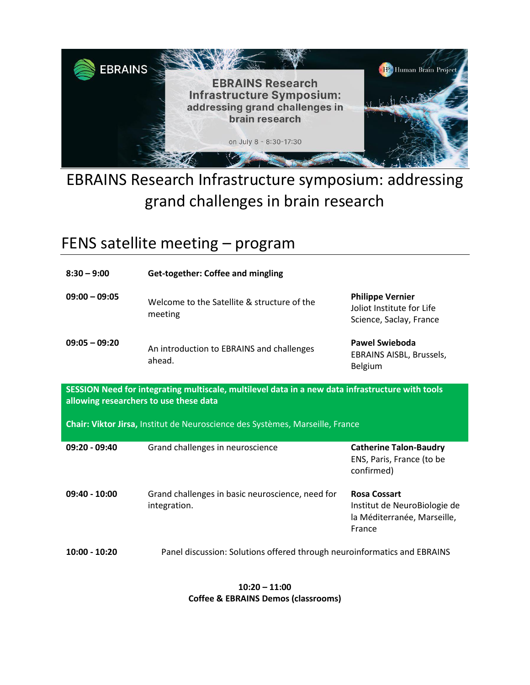

# EBRAINS Research Infrastructure symposium: addressing grand challenges in brain research

## FENS satellite meeting – program

| $8:30 - 9:00$                                                                                                                              | <b>Get-together: Coffee and mingling</b>                         |                                                                                              |  |  |  |
|--------------------------------------------------------------------------------------------------------------------------------------------|------------------------------------------------------------------|----------------------------------------------------------------------------------------------|--|--|--|
| $09:00 - 09:05$                                                                                                                            | Welcome to the Satellite & structure of the<br>meeting           | <b>Philippe Vernier</b><br>Joliot Institute for Life<br>Science, Saclay, France              |  |  |  |
| $09:05 - 09:20$                                                                                                                            | An introduction to EBRAINS and challenges<br>ahead.              | <b>Pawel Swieboda</b><br>EBRAINS AISBL, Brussels,<br><b>Belgium</b>                          |  |  |  |
| SESSION Need for integrating multiscale, multilevel data in a new data infrastructure with tools<br>allowing researchers to use these data |                                                                  |                                                                                              |  |  |  |
| Chair: Viktor Jirsa, Institut de Neuroscience des Systèmes, Marseille, France                                                              |                                                                  |                                                                                              |  |  |  |
|                                                                                                                                            |                                                                  |                                                                                              |  |  |  |
| 09:20 - 09:40                                                                                                                              | Grand challenges in neuroscience                                 | <b>Catherine Talon-Baudry</b><br>ENS, Paris, France (to be<br>confirmed)                     |  |  |  |
| $09:40 - 10:00$                                                                                                                            | Grand challenges in basic neuroscience, need for<br>integration. | <b>Rosa Cossart</b><br>Institut de NeuroBiologie de<br>la Méditerranée, Marseille,<br>France |  |  |  |

#### **10:20 – 11:00 Coffee & EBRAINS Demos (classrooms)**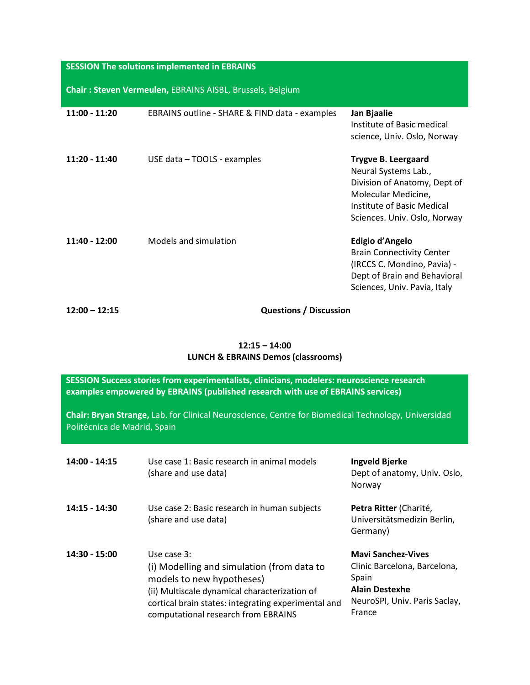#### **SESSION The solutions implemented in EBRAINS**

**Chair : Steven Vermeulen,** EBRAINS AISBL, Brussels, Belgium

| $11:00 - 11:20$ | EBRAINS outline - SHARE & FIND data - examples | Jan Bjaalie<br>Institute of Basic medical<br>science, Univ. Oslo, Norway                                                                                                |
|-----------------|------------------------------------------------|-------------------------------------------------------------------------------------------------------------------------------------------------------------------------|
| $11:20 - 11:40$ | USE data - TOOLS - examples                    | <b>Trygve B. Leergaard</b><br>Neural Systems Lab.,<br>Division of Anatomy, Dept of<br>Molecular Medicine,<br>Institute of Basic Medical<br>Sciences. Univ. Oslo, Norway |
| $11:40 - 12:00$ | Models and simulation                          | Edigio d'Angelo<br><b>Brain Connectivity Center</b><br>(IRCCS C. Mondino, Pavia) -<br>Dept of Brain and Behavioral<br>Sciences, Univ. Pavia, Italy                      |

**12:00 – 12:15 Questions / Discussion**

#### **12:15 – 14:00 LUNCH & EBRAINS Demos (classrooms)**

| SESSION Success stories from experimentalists, clinicians, modelers: neuroscience research<br>examples empowered by EBRAINS (published research with use of EBRAINS services)<br>Chair: Bryan Strange, Lab. for Clinical Neuroscience, Centre for Biomedical Technology, Universidad<br>Politécnica de Madrid, Spain |                                                                                                                                                                                                                                       |                                                                                                                                        |  |  |
|----------------------------------------------------------------------------------------------------------------------------------------------------------------------------------------------------------------------------------------------------------------------------------------------------------------------|---------------------------------------------------------------------------------------------------------------------------------------------------------------------------------------------------------------------------------------|----------------------------------------------------------------------------------------------------------------------------------------|--|--|
| $14:00 - 14:15$                                                                                                                                                                                                                                                                                                      | Use case 1: Basic research in animal models<br>(share and use data)                                                                                                                                                                   | Ingveld Bjerke<br>Dept of anatomy, Univ. Oslo,<br>Norway                                                                               |  |  |
| 14:15 - 14:30                                                                                                                                                                                                                                                                                                        | Use case 2: Basic research in human subjects<br>(share and use data)                                                                                                                                                                  | Petra Ritter (Charité,<br>Universitätsmedizin Berlin,<br>Germany)                                                                      |  |  |
| 14:30 - 15:00                                                                                                                                                                                                                                                                                                        | Use case 3:<br>(i) Modelling and simulation (from data to<br>models to new hypotheses)<br>(ii) Multiscale dynamical characterization of<br>cortical brain states: integrating experimental and<br>computational research from EBRAINS | <b>Mavi Sanchez-Vives</b><br>Clinic Barcelona, Barcelona,<br>Spain<br><b>Alain Destexhe</b><br>NeuroSPI, Univ. Paris Saclay,<br>France |  |  |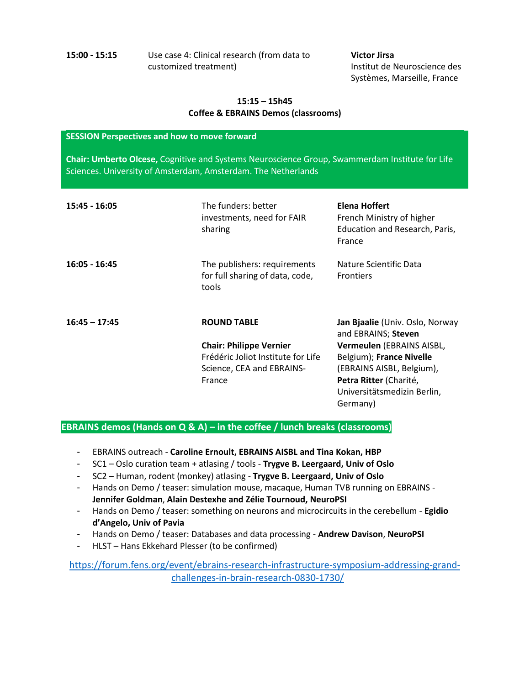**15:00 - 15:15** Use case 4: Clinical research (from data to customized treatment)

**Victor Jirsa** Institut de Neuroscience des Systèmes, Marseille, France

#### **15:15 – 15h45 Coffee & EBRAINS Demos (classrooms)**

#### **SESSION Perspectives and how to move forward**

**Chair: Umberto Olcese,** Cognitive and Systems Neuroscience Group, Swammerdam Institute for Life Sciences. University of Amsterdam, Amsterdam. The Netherlands

| 15:45 - 16:05   | The funders: better<br>investments, need for FAIR<br>sharing                                                                      | Elena Hoffert<br>French Ministry of higher<br>Education and Research, Paris,<br>France                                                                                                                            |
|-----------------|-----------------------------------------------------------------------------------------------------------------------------------|-------------------------------------------------------------------------------------------------------------------------------------------------------------------------------------------------------------------|
| $16:05 - 16:45$ | The publishers: requirements<br>for full sharing of data, code,<br>tools                                                          | Nature Scientific Data<br><b>Frontiers</b>                                                                                                                                                                        |
| $16:45 - 17:45$ | <b>ROUND TABLE</b><br><b>Chair: Philippe Vernier</b><br>Frédéric Joliot Institute for Life<br>Science, CEA and EBRAINS-<br>France | Jan Bjaalie (Univ. Oslo, Norway<br>and EBRAINS; Steven<br>Vermeulen (EBRAINS AISBL,<br>Belgium); France Nivelle<br>(EBRAINS AISBL, Belgium),<br>Petra Ritter (Charité,<br>Universitätsmedizin Berlin,<br>Germany) |

#### **EBRAINS demos (Hands on Q & A) – in the coffee / lunch breaks (classrooms)**

- EBRAINS outreach **Caroline Ernoult, EBRAINS AISBL and Tina Kokan, HBP**
- SC1 Oslo curation team + atlasing / tools **Trygve B. Leergaard, Univ of Oslo**
- SC2 Human, rodent (monkey) atlasing **Trygve B. Leergaard, Univ of Oslo**
- Hands on Demo / teaser: simulation mouse, macaque, Human TVB running on EBRAINS **Jennifer Goldman**, **Alain Destexhe and Zélie Tournoud, NeuroPSI**
- Hands on Demo / teaser: something on neurons and microcircuits in the cerebellum **Egidio d'Angelo, Univ of Pavia**
- Hands on Demo / teaser: Databases and data processing **Andrew Davison**, **NeuroPSI**
- HLST Hans Ekkehard Plesser (to be confirmed)

[https://forum.fens.org/event/ebrains-research-infrastructure-symposium-addressing-grand](https://forum.fens.org/event/ebrains-research-infrastructure-symposium-addressing-grand-challenges-in-brain-research-0830-1730/)[challenges-in-brain-research-0830-1730/](https://forum.fens.org/event/ebrains-research-infrastructure-symposium-addressing-grand-challenges-in-brain-research-0830-1730/)